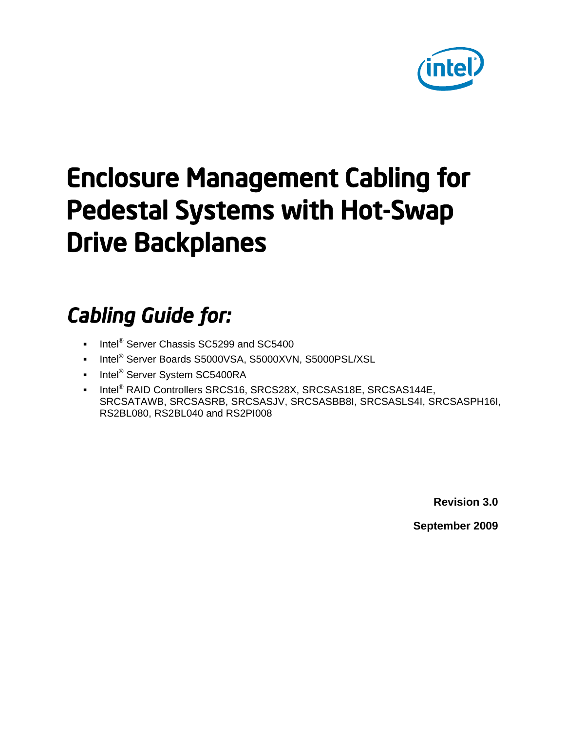

# Enclosure Management Cabling for Pedestal Systems with Hot-Swap Drive Backplanes

## *Cabling Guide for:*

- Intel<sup>®</sup> Server Chassis SC5299 and SC5400
- Intel<sup>®</sup> Server Boards S5000VSA, S5000XVN, S5000PSL/XSL
- Intel<sup>®</sup> Server System SC5400RA
- Intel<sup>®</sup> RAID Controllers SRCS16, SRCS28X, SRCSAS18E, SRCSAS144E, SRCSATAWB, SRCSASRB, SRCSASJV, SRCSASBB8I, SRCSASLS4I, SRCSASPH16I, RS2BL080, RS2BL040 and RS2PI008

**Revision 3.0**

**September 2009**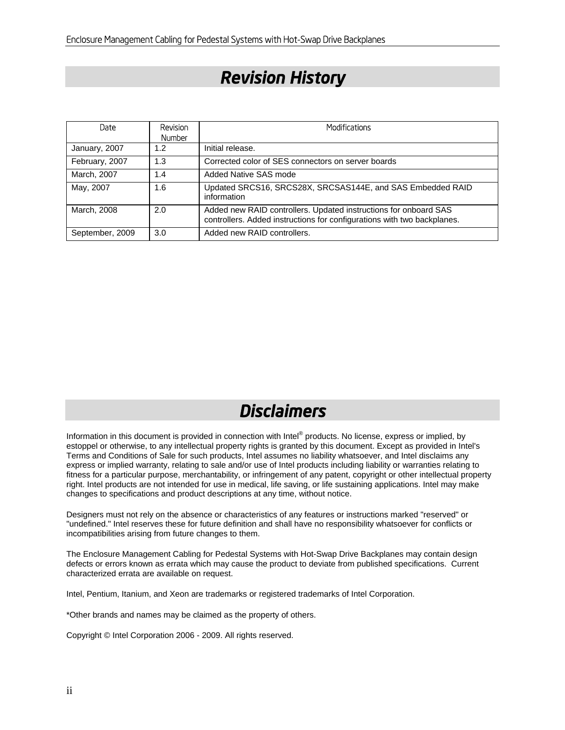#### *Revision History*

| Date            | <b>Revision</b><br><b>Number</b> | <b>Modifications</b>                                                                                                                        |
|-----------------|----------------------------------|---------------------------------------------------------------------------------------------------------------------------------------------|
| January, 2007   | 1.2                              | Initial release.                                                                                                                            |
| February, 2007  | 1.3                              | Corrected color of SES connectors on server boards                                                                                          |
| March, 2007     | 1.4                              | Added Native SAS mode                                                                                                                       |
| May, 2007       | 1.6                              | Updated SRCS16, SRCS28X, SRCSAS144E, and SAS Embedded RAID<br>information                                                                   |
| March, 2008     | 2.0                              | Added new RAID controllers. Updated instructions for onboard SAS<br>controllers. Added instructions for configurations with two backplanes. |
| September, 2009 | 3.0                              | Added new RAID controllers.                                                                                                                 |

#### *Disclaimers*

Information in this document is provided in connection with Intel® products. No license, express or implied, by estoppel or otherwise, to any intellectual property rights is granted by this document. Except as provided in Intel's Terms and Conditions of Sale for such products, Intel assumes no liability whatsoever, and Intel disclaims any express or implied warranty, relating to sale and/or use of Intel products including liability or warranties relating to fitness for a particular purpose, merchantability, or infringement of any patent, copyright or other intellectual property right. Intel products are not intended for use in medical, life saving, or life sustaining applications. Intel may make changes to specifications and product descriptions at any time, without notice.

Designers must not rely on the absence or characteristics of any features or instructions marked "reserved" or "undefined." Intel reserves these for future definition and shall have no responsibility whatsoever for conflicts or incompatibilities arising from future changes to them.

The Enclosure Management Cabling for Pedestal Systems with Hot-Swap Drive Backplanes may contain design defects or errors known as errata which may cause the product to deviate from published specifications. Current characterized errata are available on request.

Intel, Pentium, Itanium, and Xeon are trademarks or registered trademarks of Intel Corporation.

\*Other brands and names may be claimed as the property of others.

Copyright © Intel Corporation 2006 - 2009. All rights reserved.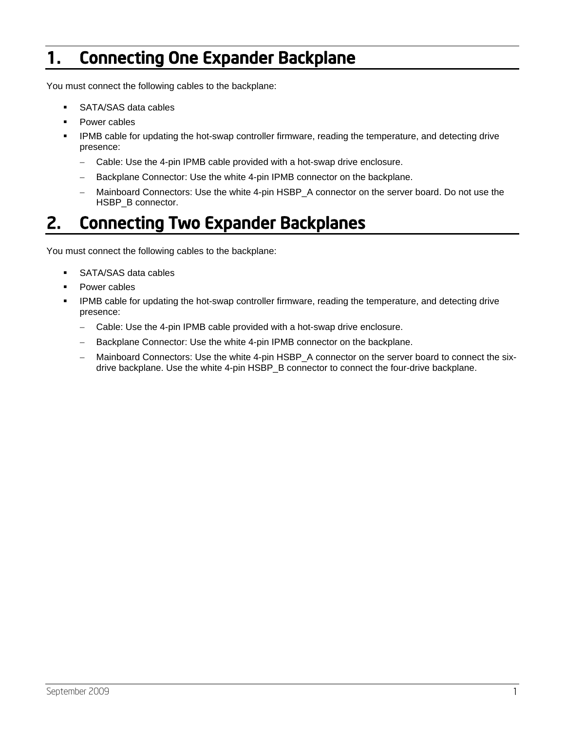### 1. Connecting One Expander Backplane

You must connect the following cables to the backplane:

- SATA/SAS data cables
- Power cables
- IPMB cable for updating the hot-swap controller firmware, reading the temperature, and detecting drive presence:
	- Cable: Use the 4-pin IPMB cable provided with a hot-swap drive enclosure.
	- Backplane Connector: Use the white 4-pin IPMB connector on the backplane.
	- Mainboard Connectors: Use the white 4-pin HSBP\_A connector on the server board. Do not use the HSBP\_B connector.

#### 2. Connecting Two Expander Backplanes

You must connect the following cables to the backplane:

- SATA/SAS data cables
- Power cables
- IPMB cable for updating the hot-swap controller firmware, reading the temperature, and detecting drive presence:
	- Cable: Use the 4-pin IPMB cable provided with a hot-swap drive enclosure.
	- Backplane Connector: Use the white 4-pin IPMB connector on the backplane.
	- Mainboard Connectors: Use the white 4-pin HSBP\_A connector on the server board to connect the sixdrive backplane. Use the white 4-pin HSBP\_B connector to connect the four-drive backplane.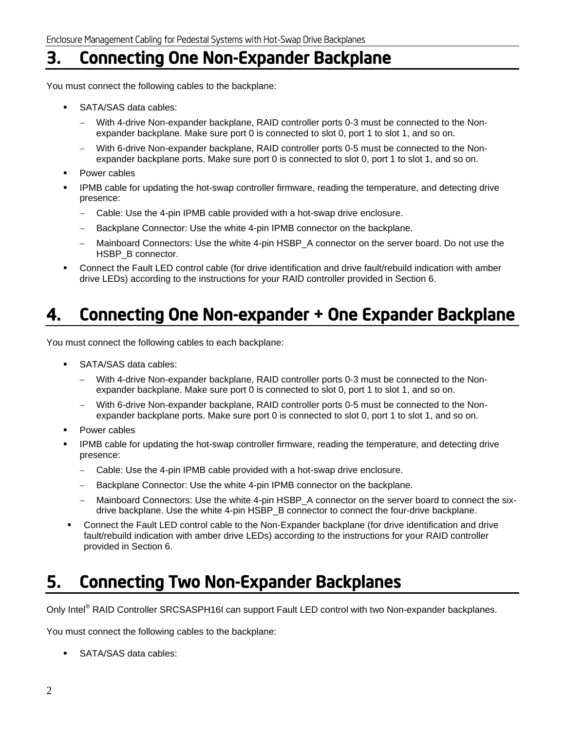#### 3. Connecting One Non-Expander Backplane

You must connect the following cables to the backplane:

- SATA/SAS data cables:
	- With 4-drive Non-expander backplane, RAID controller ports 0-3 must be connected to the Nonexpander backplane. Make sure port 0 is connected to slot 0, port 1 to slot 1, and so on.
	- With 6-drive Non-expander backplane, RAID controller ports 0-5 must be connected to the Nonexpander backplane ports. Make sure port 0 is connected to slot 0, port 1 to slot 1, and so on.
- Power cables
- IPMB cable for updating the hot-swap controller firmware, reading the temperature, and detecting drive presence:
	- Cable: Use the 4-pin IPMB cable provided with a hot-swap drive enclosure.
	- Backplane Connector: Use the white 4-pin IPMB connector on the backplane.
	- Mainboard Connectors: Use the white 4-pin HSBP\_A connector on the server board. Do not use the HSBP\_B connector.
- Connect the Fault LED control cable (for drive identification and drive fault/rebuild indication with amber drive LEDs) according to the instructions for your RAID controller provided in Section 6.

#### 4. Connecting One Non-expander + One Expander Backplane

You must connect the following cables to each backplane:

- **SATA/SAS data cables:** 
	- With 4-drive Non-expander backplane, RAID controller ports 0-3 must be connected to the Nonexpander backplane. Make sure port 0 is connected to slot 0, port 1 to slot 1, and so on.
	- With 6-drive Non-expander backplane, RAID controller ports 0-5 must be connected to the Nonexpander backplane ports. Make sure port 0 is connected to slot 0, port 1 to slot 1, and so on.
- Power cables
- IPMB cable for updating the hot-swap controller firmware, reading the temperature, and detecting drive presence:
	- Cable: Use the 4-pin IPMB cable provided with a hot-swap drive enclosure.
	- Backplane Connector: Use the white 4-pin IPMB connector on the backplane.
	- Mainboard Connectors: Use the white 4-pin HSBP\_A connector on the server board to connect the sixdrive backplane. Use the white 4-pin HSBP\_B connector to connect the four-drive backplane.
- Connect the Fault LED control cable to the Non-Expander backplane (for drive identification and drive fault/rebuild indication with amber drive LEDs) according to the instructions for your RAID controller provided in Section 6.

#### 5. Connecting Two Non-Expander Backplanes

Only Intel<sup>®</sup> RAID Controller SRCSASPH16I can support Fault LED control with two Non-expander backplanes.

You must connect the following cables to the backplane:

**SATA/SAS data cables:**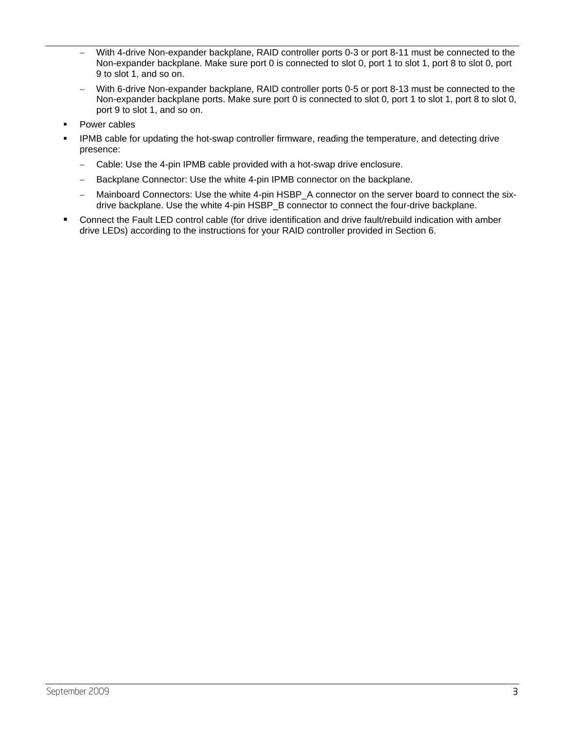- With 4-drive Non-expander backplane, RAID controller ports 0-3 or port 8-11 must be connected to the Non-expander backplane. Make sure port 0 is connected to slot 0, port 1 to slot 1, port 8 to slot 0, port 9 to slot 1, and so on.
- With 6-drive Non-expander backplane, RAID controller ports 0-5 or port 8-13 must be connected to the Non-expander backplane ports. Make sure port 0 is connected to slot 0, port 1 to slot 1, port 8 to slot 0, port 9 to slot 1, and so on.
- Power cables
- IPMB cable for updating the hot-swap controller firmware, reading the temperature, and detecting drive presence:
	- Cable: Use the 4-pin IPMB cable provided with a hot-swap drive enclosure.
	- Backplane Connector: Use the white 4-pin IPMB connector on the backplane.
	- Mainboard Connectors: Use the white 4-pin HSBP\_A connector on the server board to connect the sixdrive backplane. Use the white 4-pin HSBP\_B connector to connect the four-drive backplane.
- Connect the Fault LED control cable (for drive identification and drive fault/rebuild indication with amber drive LEDs) according to the instructions for your RAID controller provided in Section 6.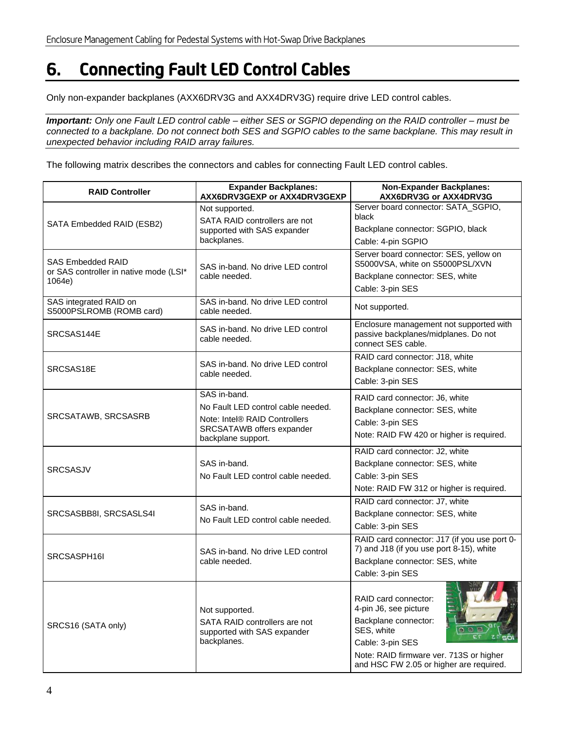### 6. Connecting Fault LED Control Cables

Only non-expander backplanes (AXX6DRV3G and AXX4DRV3G) require drive LED control cables.

*Important: Only one Fault LED control cable – either SES or SGPIO depending on the RAID controller – must be connected to a backplane. Do not connect both SES and SGPIO cables to the same backplane. This may result in unexpected behavior including RAID array failures.* 

The following matrix describes the connectors and cables for connecting Fault LED control cables.

| <b>RAID Controller</b>                                                       | <b>Expander Backplanes:</b><br>AXX6DRV3GEXP or AXX4DRV3GEXP                                                                            | <b>Non-Expander Backplanes:</b><br>AXX6DRV3G or AXX4DRV3G                                                                                                                                     |
|------------------------------------------------------------------------------|----------------------------------------------------------------------------------------------------------------------------------------|-----------------------------------------------------------------------------------------------------------------------------------------------------------------------------------------------|
| SATA Embedded RAID (ESB2)                                                    | Not supported.<br>SATA RAID controllers are not<br>supported with SAS expander<br>backplanes.                                          | Server board connector: SATA_SGPIO,<br>black<br>Backplane connector: SGPIO, black<br>Cable: 4-pin SGPIO                                                                                       |
| <b>SAS Embedded RAID</b><br>or SAS controller in native mode (LSI*<br>1064e) | SAS in-band. No drive LED control<br>cable needed.                                                                                     | Server board connector: SES, yellow on<br>S5000VSA, white on S5000PSL/XVN<br>Backplane connector: SES, white<br>Cable: 3-pin SES                                                              |
| SAS integrated RAID on<br>S5000PSLROMB (ROMB card)                           | SAS in-band. No drive LED control<br>cable needed.                                                                                     | Not supported.                                                                                                                                                                                |
| SRCSAS144E                                                                   | SAS in-band. No drive LED control<br>cable needed.                                                                                     | Enclosure management not supported with<br>passive backplanes/midplanes. Do not<br>connect SES cable.                                                                                         |
| SRCSAS18E                                                                    | SAS in-band. No drive LED control<br>cable needed.                                                                                     | RAID card connector: J18, white<br>Backplane connector: SES, white<br>Cable: 3-pin SES                                                                                                        |
| SRCSATAWB, SRCSASRB                                                          | SAS in-band.<br>No Fault LED control cable needed.<br>Note: Intel® RAID Controllers<br>SRCSATAWB offers expander<br>backplane support. | RAID card connector: J6, white<br>Backplane connector: SES, white<br>Cable: 3-pin SES<br>Note: RAID FW 420 or higher is required.                                                             |
| <b>SRCSASJV</b>                                                              | SAS in-band.<br>No Fault LED control cable needed.                                                                                     | RAID card connector: J2, white<br>Backplane connector: SES, white<br>Cable: 3-pin SES<br>Note: RAID FW 312 or higher is required.                                                             |
| SRCSASBB8I, SRCSASLS4I                                                       | SAS in-band.<br>No Fault LED control cable needed.                                                                                     | RAID card connector: J7, white<br>Backplane connector: SES, white<br>Cable: 3-pin SES                                                                                                         |
| SRCSASPH16I                                                                  | SAS in-band. No drive LED control<br>cable needed.                                                                                     | RAID card connector: J17 (if you use port 0-<br>7) and J18 (if you use port 8-15), white<br>Backplane connector: SES, white<br>Cable: 3-pin SES                                               |
| SRCS16 (SATA only)                                                           | Not supported.<br>SATA RAID controllers are not<br>supported with SAS expander<br>backplanes.                                          | RAID card connector:<br>4-pin J6, see picture<br>Backplane connector:<br>SES, white<br>Cable: 3-pin SES<br>Note: RAID firmware ver. 713S or higher<br>and HSC FW 2.05 or higher are required. |